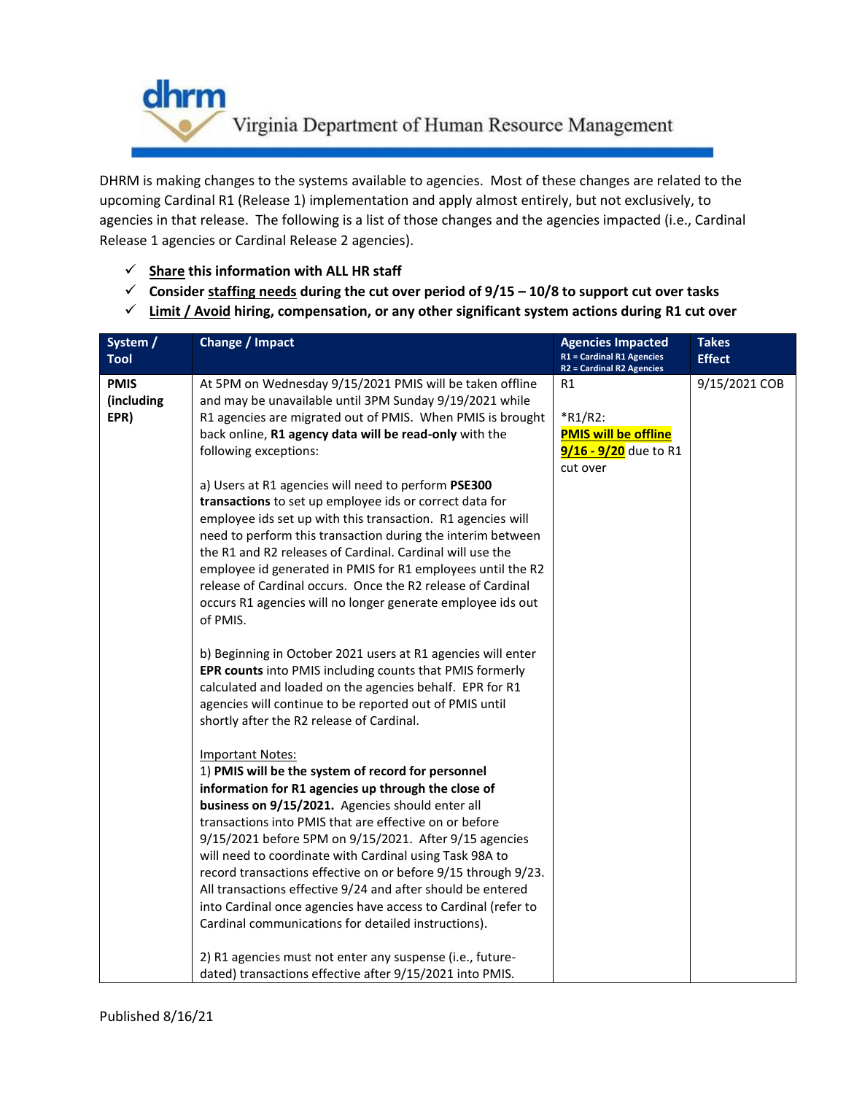

DHRM is making changes to the systems available to agencies. Most of these changes are related to the upcoming Cardinal R1 (Release 1) implementation and apply almost entirely, but not exclusively, to agencies in that release. The following is a list of those changes and the agencies impacted (i.e., Cardinal Release 1 agencies or Cardinal Release 2 agencies).

- **Share this information with ALL HR staff**
- **Consider staffing needs during the cut over period of 9/15 – 10/8 to support cut over tasks**
- **Limit / Avoid hiring, compensation, or any other significant system actions during R1 cut over**

| System /<br><b>Tool</b>           | Change / Impact                                                                                                                                                                                                                                                                                                                                                                                                                                                                                                                                                                                                                                                                                                                                                                                                                                                                                                                                                                                                                                                                            | <b>Agencies Impacted</b><br><b>R1 = Cardinal R1 Agencies</b><br><b>R2 = Cardinal R2 Agencies</b> | <b>Takes</b><br><b>Effect</b> |
|-----------------------------------|--------------------------------------------------------------------------------------------------------------------------------------------------------------------------------------------------------------------------------------------------------------------------------------------------------------------------------------------------------------------------------------------------------------------------------------------------------------------------------------------------------------------------------------------------------------------------------------------------------------------------------------------------------------------------------------------------------------------------------------------------------------------------------------------------------------------------------------------------------------------------------------------------------------------------------------------------------------------------------------------------------------------------------------------------------------------------------------------|--------------------------------------------------------------------------------------------------|-------------------------------|
| <b>PMIS</b><br>(including<br>EPR) | At 5PM on Wednesday 9/15/2021 PMIS will be taken offline<br>and may be unavailable until 3PM Sunday 9/19/2021 while<br>R1 agencies are migrated out of PMIS. When PMIS is brought<br>back online, R1 agency data will be read-only with the<br>following exceptions:<br>a) Users at R1 agencies will need to perform PSE300<br>transactions to set up employee ids or correct data for<br>employee ids set up with this transaction. R1 agencies will<br>need to perform this transaction during the interim between<br>the R1 and R2 releases of Cardinal. Cardinal will use the<br>employee id generated in PMIS for R1 employees until the R2<br>release of Cardinal occurs. Once the R2 release of Cardinal<br>occurs R1 agencies will no longer generate employee ids out<br>of PMIS.<br>b) Beginning in October 2021 users at R1 agencies will enter<br>EPR counts into PMIS including counts that PMIS formerly<br>calculated and loaded on the agencies behalf. EPR for R1<br>agencies will continue to be reported out of PMIS until<br>shortly after the R2 release of Cardinal. | R1<br>$*$ R1/R2:<br><b>PMIS will be offline</b><br>9/16 - 9/20 due to R1<br>cut over             | 9/15/2021 COB                 |
|                                   | <b>Important Notes:</b><br>1) PMIS will be the system of record for personnel<br>information for R1 agencies up through the close of<br>business on 9/15/2021. Agencies should enter all<br>transactions into PMIS that are effective on or before<br>9/15/2021 before 5PM on 9/15/2021. After 9/15 agencies<br>will need to coordinate with Cardinal using Task 98A to<br>record transactions effective on or before 9/15 through 9/23.<br>All transactions effective 9/24 and after should be entered<br>into Cardinal once agencies have access to Cardinal (refer to<br>Cardinal communications for detailed instructions).<br>2) R1 agencies must not enter any suspense (i.e., future-<br>dated) transactions effective after 9/15/2021 into PMIS.                                                                                                                                                                                                                                                                                                                                   |                                                                                                  |                               |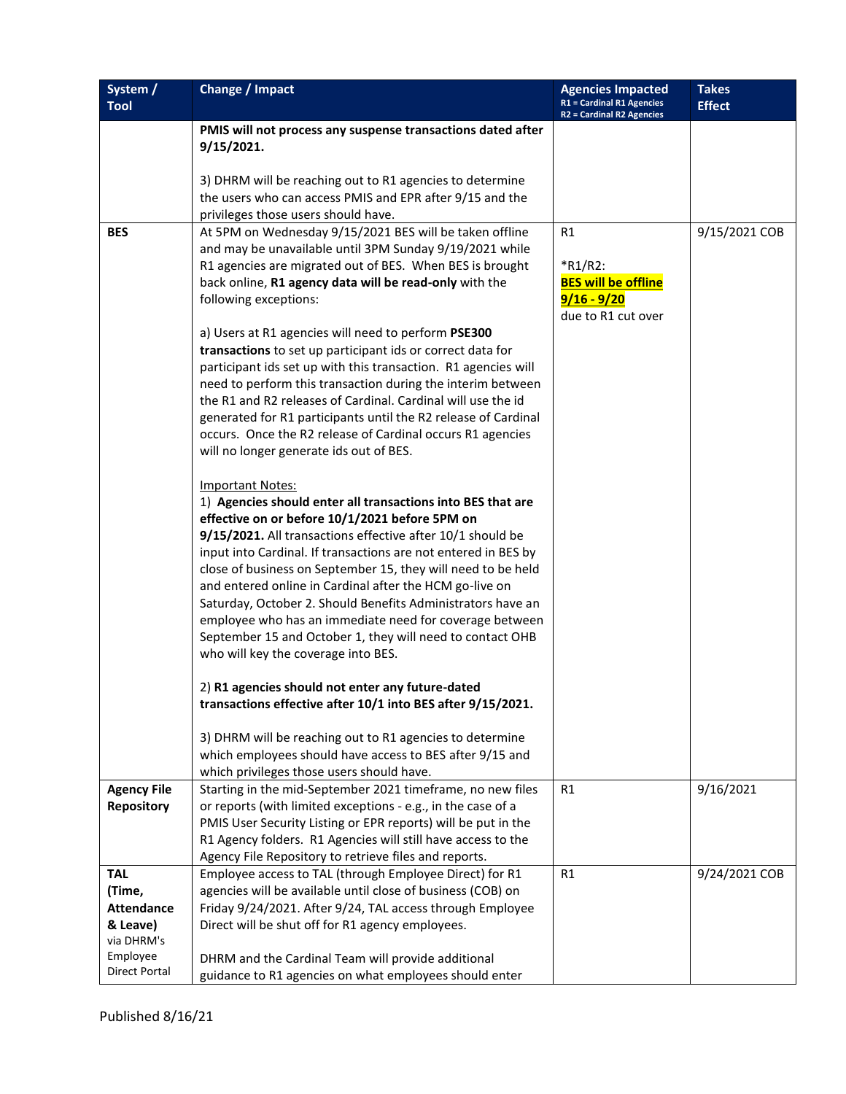| System /<br><b>Tool</b>          | Change / Impact                                                                                                             | <b>Agencies Impacted</b><br><b>R1 = Cardinal R1 Agencies</b><br><b>R2 = Cardinal R2 Agencies</b> | <b>Takes</b><br><b>Effect</b> |
|----------------------------------|-----------------------------------------------------------------------------------------------------------------------------|--------------------------------------------------------------------------------------------------|-------------------------------|
|                                  | PMIS will not process any suspense transactions dated after                                                                 |                                                                                                  |                               |
|                                  | 9/15/2021.                                                                                                                  |                                                                                                  |                               |
|                                  | 3) DHRM will be reaching out to R1 agencies to determine                                                                    |                                                                                                  |                               |
|                                  | the users who can access PMIS and EPR after 9/15 and the                                                                    |                                                                                                  |                               |
| <b>BES</b>                       | privileges those users should have.<br>At 5PM on Wednesday 9/15/2021 BES will be taken offline                              | R1                                                                                               | 9/15/2021 COB                 |
|                                  | and may be unavailable until 3PM Sunday 9/19/2021 while                                                                     |                                                                                                  |                               |
|                                  | R1 agencies are migrated out of BES. When BES is brought                                                                    | $*$ R1/R2:                                                                                       |                               |
|                                  | back online, R1 agency data will be read-only with the                                                                      | <b>BES will be offline</b>                                                                       |                               |
|                                  | following exceptions:                                                                                                       | $9/16 - 9/20$<br>due to R1 cut over                                                              |                               |
|                                  | a) Users at R1 agencies will need to perform PSE300                                                                         |                                                                                                  |                               |
|                                  | transactions to set up participant ids or correct data for                                                                  |                                                                                                  |                               |
|                                  | participant ids set up with this transaction. R1 agencies will                                                              |                                                                                                  |                               |
|                                  | need to perform this transaction during the interim between<br>the R1 and R2 releases of Cardinal. Cardinal will use the id |                                                                                                  |                               |
|                                  | generated for R1 participants until the R2 release of Cardinal                                                              |                                                                                                  |                               |
|                                  | occurs. Once the R2 release of Cardinal occurs R1 agencies                                                                  |                                                                                                  |                               |
|                                  | will no longer generate ids out of BES.                                                                                     |                                                                                                  |                               |
|                                  |                                                                                                                             |                                                                                                  |                               |
|                                  | <b>Important Notes:</b><br>1) Agencies should enter all transactions into BES that are                                      |                                                                                                  |                               |
|                                  | effective on or before 10/1/2021 before 5PM on                                                                              |                                                                                                  |                               |
|                                  | 9/15/2021. All transactions effective after 10/1 should be                                                                  |                                                                                                  |                               |
|                                  | input into Cardinal. If transactions are not entered in BES by                                                              |                                                                                                  |                               |
|                                  | close of business on September 15, they will need to be held                                                                |                                                                                                  |                               |
|                                  | and entered online in Cardinal after the HCM go-live on<br>Saturday, October 2. Should Benefits Administrators have an      |                                                                                                  |                               |
|                                  | employee who has an immediate need for coverage between                                                                     |                                                                                                  |                               |
|                                  | September 15 and October 1, they will need to contact OHB                                                                   |                                                                                                  |                               |
|                                  | who will key the coverage into BES.                                                                                         |                                                                                                  |                               |
|                                  | 2) R1 agencies should not enter any future-dated                                                                            |                                                                                                  |                               |
|                                  | transactions effective after 10/1 into BES after 9/15/2021.                                                                 |                                                                                                  |                               |
|                                  | 3) DHRM will be reaching out to R1 agencies to determine                                                                    |                                                                                                  |                               |
|                                  | which employees should have access to BES after 9/15 and                                                                    |                                                                                                  |                               |
|                                  | which privileges those users should have.                                                                                   |                                                                                                  |                               |
| <b>Agency File</b><br>Repository | Starting in the mid-September 2021 timeframe, no new files<br>or reports (with limited exceptions - e.g., in the case of a  | R <sub>1</sub>                                                                                   | 9/16/2021                     |
|                                  | PMIS User Security Listing or EPR reports) will be put in the                                                               |                                                                                                  |                               |
|                                  | R1 Agency folders. R1 Agencies will still have access to the                                                                |                                                                                                  |                               |
|                                  | Agency File Repository to retrieve files and reports.                                                                       |                                                                                                  |                               |
| <b>TAL</b>                       | Employee access to TAL (through Employee Direct) for R1                                                                     | R <sub>1</sub>                                                                                   | 9/24/2021 COB                 |
| (Time,                           | agencies will be available until close of business (COB) on                                                                 |                                                                                                  |                               |
| <b>Attendance</b><br>& Leave)    | Friday 9/24/2021. After 9/24, TAL access through Employee<br>Direct will be shut off for R1 agency employees.               |                                                                                                  |                               |
| via DHRM's                       |                                                                                                                             |                                                                                                  |                               |
| Employee                         | DHRM and the Cardinal Team will provide additional                                                                          |                                                                                                  |                               |
| <b>Direct Portal</b>             | guidance to R1 agencies on what employees should enter                                                                      |                                                                                                  |                               |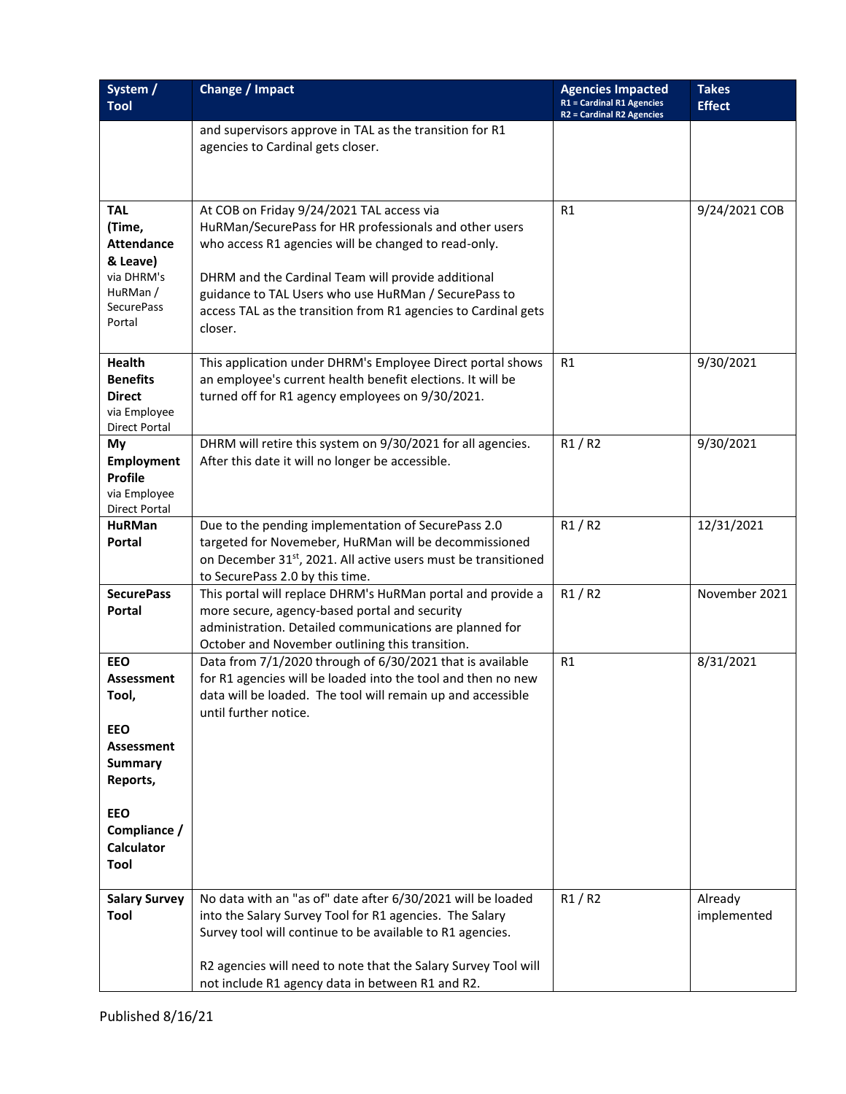| System /<br><b>Tool</b>                                                            | Change / Impact                                                                                                                                                                                                            | <b>Agencies Impacted</b><br><b>R1 = Cardinal R1 Agencies</b> | <b>Takes</b><br><b>Effect</b> |
|------------------------------------------------------------------------------------|----------------------------------------------------------------------------------------------------------------------------------------------------------------------------------------------------------------------------|--------------------------------------------------------------|-------------------------------|
|                                                                                    | and supervisors approve in TAL as the transition for R1                                                                                                                                                                    | <b>R2 = Cardinal R2 Agencies</b>                             |                               |
|                                                                                    | agencies to Cardinal gets closer.                                                                                                                                                                                          |                                                              |                               |
|                                                                                    |                                                                                                                                                                                                                            |                                                              |                               |
| <b>TAL</b><br>(Time,                                                               | At COB on Friday 9/24/2021 TAL access via<br>HuRMan/SecurePass for HR professionals and other users                                                                                                                        | R1                                                           | 9/24/2021 COB                 |
| <b>Attendance</b><br>& Leave)                                                      | who access R1 agencies will be changed to read-only.                                                                                                                                                                       |                                                              |                               |
| via DHRM's<br>HuRMan/<br><b>SecurePass</b><br>Portal                               | DHRM and the Cardinal Team will provide additional<br>guidance to TAL Users who use HuRMan / SecurePass to<br>access TAL as the transition from R1 agencies to Cardinal gets<br>closer.                                    |                                                              |                               |
| Health<br><b>Benefits</b><br><b>Direct</b><br>via Employee<br><b>Direct Portal</b> | This application under DHRM's Employee Direct portal shows<br>an employee's current health benefit elections. It will be<br>turned off for R1 agency employees on 9/30/2021.                                               | R1                                                           | 9/30/2021                     |
| My<br>Employment<br>Profile<br>via Employee                                        | DHRM will retire this system on 9/30/2021 for all agencies.<br>After this date it will no longer be accessible.                                                                                                            | R1/R2                                                        | 9/30/2021                     |
| <b>Direct Portal</b><br><b>HuRMan</b>                                              | Due to the pending implementation of SecurePass 2.0                                                                                                                                                                        | R1/R2                                                        | 12/31/2021                    |
| Portal                                                                             | targeted for Novemeber, HuRMan will be decommissioned<br>on December 31 <sup>st</sup> , 2021. All active users must be transitioned<br>to SecurePass 2.0 by this time.                                                     |                                                              |                               |
| <b>SecurePass</b><br>Portal                                                        | This portal will replace DHRM's HuRMan portal and provide a<br>more secure, agency-based portal and security<br>administration. Detailed communications are planned for<br>October and November outlining this transition. | R1/R2                                                        | November 2021                 |
| <b>EEO</b><br><b>Assessment</b><br>Tool,                                           | Data from 7/1/2020 through of 6/30/2021 that is available<br>for R1 agencies will be loaded into the tool and then no new<br>data will be loaded. The tool will remain up and accessible<br>until further notice.          | R1                                                           | 8/31/2021                     |
| <b>EEO</b><br><b>Assessment</b><br><b>Summary</b><br>Reports,                      |                                                                                                                                                                                                                            |                                                              |                               |
| <b>EEO</b><br>Compliance /<br><b>Calculator</b><br>Tool                            |                                                                                                                                                                                                                            |                                                              |                               |
| <b>Salary Survey</b><br>Tool                                                       | No data with an "as of" date after 6/30/2021 will be loaded<br>into the Salary Survey Tool for R1 agencies. The Salary<br>Survey tool will continue to be available to R1 agencies.                                        | R1/R2                                                        | Already<br>implemented        |
|                                                                                    | R2 agencies will need to note that the Salary Survey Tool will<br>not include R1 agency data in between R1 and R2.                                                                                                         |                                                              |                               |